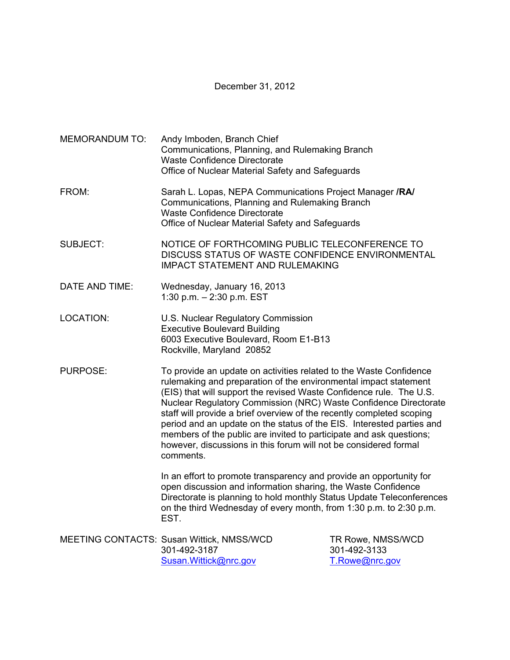December 31, 2012

MEMORANDUM TO: Andy Imboden, Branch Chief Communications, Planning, and Rulemaking Branch Waste Confidence Directorate Office of Nuclear Material Safety and Safeguards FROM: Sarah L. Lopas, NEPA Communications Project Manager **/RA/** Communications, Planning and Rulemaking Branch Waste Confidence Directorate Office of Nuclear Material Safety and Safeguards SUBJECT: NOTICE OF FORTHCOMING PUBLIC TELECONFERENCE TO DISCUSS STATUS OF WASTE CONFIDENCE ENVIRONMENTAL IMPACT STATEMENT AND RULEMAKING DATE AND TIME: Wednesday, January 16, 2013 1:30 p.m. – 2:30 p.m. EST LOCATION: U.S. Nuclear Regulatory Commission Executive Boulevard Building 6003 Executive Boulevard, Room E1-B13 Rockville, Maryland 20852 PURPOSE: To provide an update on activities related to the Waste Confidence rulemaking and preparation of the environmental impact statement (EIS) that will support the revised Waste Confidence rule. The U.S. Nuclear Regulatory Commission (NRC) Waste Confidence Directorate staff will provide a brief overview of the recently completed scoping period and an update on the status of the EIS. Interested parties and members of the public are invited to participate and ask questions; however, discussions in this forum will not be considered formal comments. In an effort to promote transparency and provide an opportunity for open discussion and information sharing, the Waste Confidence Directorate is planning to hold monthly Status Update Teleconferences on the third Wednesday of every month, from 1:30 p.m. to 2:30 p.m. EST. MEETING CONTACTS: Susan Wittick, NMSS/WCD TR Rowe, NMSS/WCD 301-492-3187 301-492-3133 Susan.Wittick@nrc.gov T.Rowe@nrc.gov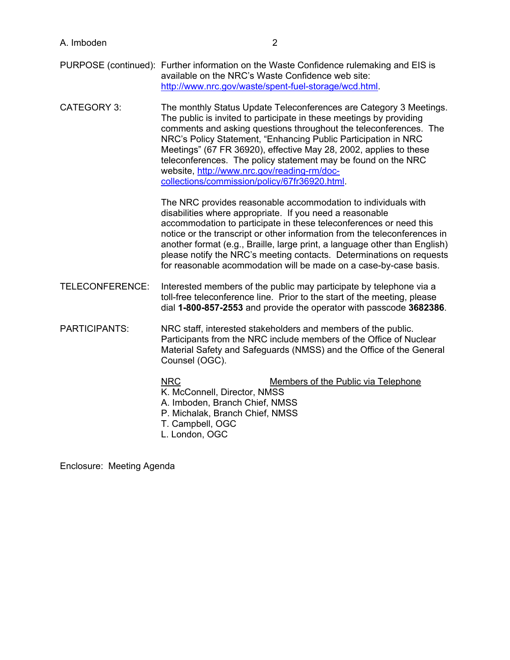| A. Imboden |  |
|------------|--|
|------------|--|

- PURPOSE (continued): Further information on the Waste Confidence rulemaking and EIS is available on the NRC's Waste Confidence web site: http://www.nrc.gov/waste/spent-fuel-storage/wcd.html.
- CATEGORY 3: The monthly Status Update Teleconferences are Category 3 Meetings. The public is invited to participate in these meetings by providing comments and asking questions throughout the teleconferences. The NRC's Policy Statement, "Enhancing Public Participation in NRC Meetings" (67 FR 36920), effective May 28, 2002, applies to these teleconferences. The policy statement may be found on the NRC website, http://www.nrc.gov/reading-rm/doccollections/commission/policy/67fr36920.html.

The NRC provides reasonable accommodation to individuals with disabilities where appropriate. If you need a reasonable accommodation to participate in these teleconferences or need this notice or the transcript or other information from the teleconferences in another format (e.g., Braille, large print, a language other than English) please notify the NRC's meeting contacts. Determinations on requests for reasonable acommodation will be made on a case-by-case basis.

- TELECONFERENCE: Interested members of the public may participate by telephone via a toll-free teleconference line. Prior to the start of the meeting, please dial **1-800-857-2553** and provide the operator with passcode **3682386**.
- PARTICIPANTS: NRC staff, interested stakeholders and members of the public. Participants from the NRC include members of the Office of Nuclear Material Safety and Safeguards (NMSS) and the Office of the General Counsel (OGC).

## NRC Members of the Public via Telephone K. McConnell, Director, NMSS A. Imboden, Branch Chief, NMSS P. Michalak, Branch Chief, NMSS T. Campbell, OGC L. London, OGC

Enclosure: Meeting Agenda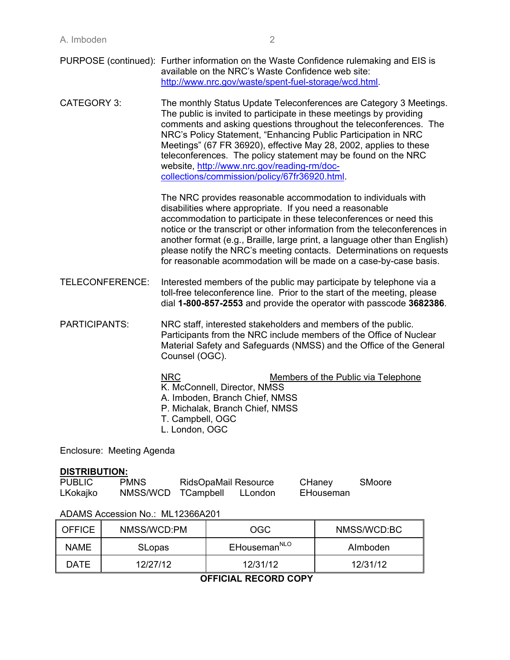| PURPOSE (continued): Further information on the Waste Confidence rulemaking and EIS is |
|----------------------------------------------------------------------------------------|
| available on the NRC's Waste Confidence web site:                                      |
| http://www.nrc.gov/waste/spent-fuel-storage/wcd.html.                                  |

CATEGORY 3: The monthly Status Update Teleconferences are Category 3 Meetings. The public is invited to participate in these meetings by providing comments and asking questions throughout the teleconferences. The NRC's Policy Statement, "Enhancing Public Participation in NRC Meetings" (67 FR 36920), effective May 28, 2002, applies to these teleconferences. The policy statement may be found on the NRC website, http://www.nrc.gov/reading-rm/doccollections/commission/policy/67fr36920.html.

> The NRC provides reasonable accommodation to individuals with disabilities where appropriate. If you need a reasonable accommodation to participate in these teleconferences or need this notice or the transcript or other information from the teleconferences in another format (e.g., Braille, large print, a language other than English) please notify the NRC's meeting contacts. Determinations on requests for reasonable acommodation will be made on a case-by-case basis.

TELECONFERENCE: Interested members of the public may participate by telephone via a toll-free teleconference line. Prior to the start of the meeting, please dial **1-800-857-2553** and provide the operator with passcode **3682386**.

PARTICIPANTS: NRC staff, interested stakeholders and members of the public. Participants from the NRC include members of the Office of Nuclear Material Safety and Safeguards (NMSS) and the Office of the General Counsel (OGC).

| <b>NRC</b>                      | Members of the Public via Telephone |
|---------------------------------|-------------------------------------|
| K. McConnell, Director, NMSS    |                                     |
| A. Imboden, Branch Chief, NMSS  |                                     |
| P. Michalak, Branch Chief, NMSS |                                     |
| T. Campbell, OGC                |                                     |
| L. London, OGC                  |                                     |
|                                 |                                     |

Enclosure: Meeting Agenda

#### **DISTRIBUTION:**

| <b>PUBLIC</b> | <b>PMNS</b>        | <b>RidsOpaMail Resource</b> |         | CHaney    | SMoore |
|---------------|--------------------|-----------------------------|---------|-----------|--------|
| LKokajko      | NMSS/WCD TCampbell |                             | LLondon | EHouseman |        |

#### ADAMS Accession No.: ML12366A201

| <b>OFFICE</b> | NMSS/WCD:PM   | OGC                      | NMSS/WCD:BC |
|---------------|---------------|--------------------------|-------------|
| NAME.         | <b>SLopas</b> | EHouseman <sup>NLO</sup> | Almboden    |
| DATF          | 12/27/12      | 12/31/12                 | 12/31/12    |

**OFFICIAL RECORD COPY**